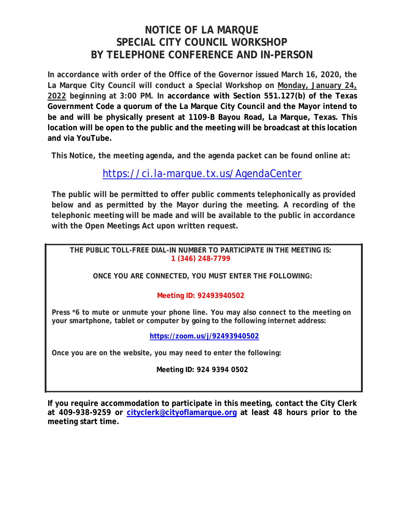# **NOTICE OF LA MARQUE SPECIAL CITY COUNCIL WORKSHOP BY TELEPHONE CONFERENCE AND IN-PERSON**

**In accordance with order of the Office of the Governor issued March 16, 2020, the La Marque City Council will conduct a Special Workshop on Monday, January 24, 2022 beginning at 3:00 PM. In accordance with Section 551.127(b) of the Texas Government Code a quorum of the La Marque City Council and the Mayor intend to be and will be physically present at 1109-B Bayou Road, La Marque, Texas. This location will be open to the public and the meeting will be broadcast at this location and via YouTube.** 

**This Notice, the meeting agenda, and the agenda packet can be found online at:**

## https://ci.la-marque.tx.us/AgendaCenter

**The public will be permitted to offer public comments telephonically as provided below and as permitted by the Mayor during the meeting. A recording of the telephonic meeting will be made and will be available to the public in accordance with the Open Meetings Act upon written request.**

**THE PUBLIC TOLL-FREE DIAL-IN NUMBER TO PARTICIPATE IN THE MEETING IS: 1 (346) 248-7799** 

**ONCE YOU ARE CONNECTED, YOU MUST ENTER THE FOLLOWING:** 

## **Meeting ID: 92493940502**

**Press \*6 to mute or unmute your phone line. You may also connect to the meeting on your smartphone, tablet or computer by going to the following internet address:**

**https://zoom.us/j/92493940502**

**Once you are on the website, you may need to enter the following:** 

**Meeting ID: 924 9394 0502** 

**If you require accommodation to participate in this meeting, contact the City Clerk at 409-938-9259 or cityclerk@cityoflamarque.org at least 48 hours prior to the meeting start time.**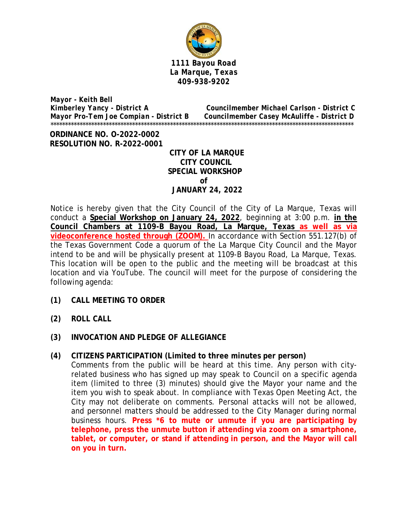

*Mayor - Keith Bell Kimberley Yancy - District A Councilmember Michael Carlson - District C Mayor Pro-Tem Joe Compian - District B Councilmember Casey McAuliffe - District D*  \*\*\*\*\*\*\*\*\*\*\*\*\*\*\*\*\*\*\*\*\*\*\*\*\*\*\*\*\*\*\*\*\*\*\*\*\*\*\*\*\*\*\*\*\*\*\*\*\*\*\*\*\*\*\*\*\*\*\*\*\*\*\*\*\*\*\*\*\*\*\*\*\*\*\*\*\*\*\*\*\*\*\*\*\*\*\*\*\*\*\*\*\*\*\*\*\*\*\*\*\*\*\*\*

 **ORDINANCE NO. O-2022-0002 RESOLUTION NO. R-2022-0001** 

 **CITY OF LA MARQUE CITY COUNCIL SPECIAL WORKSHOP of JANUARY 24, 2022** 

Notice is hereby given that the City Council of the City of La Marque, Texas will conduct a **Special Workshop on January 24, 2022**, beginning at 3:00 p.m. **in the Council Chambers at 1109-B Bayou Road, La Marque, Texas as well as via videoconference hosted through (ZOOM).** In accordance with Section 551.127(b) of the Texas Government Code a quorum of the La Marque City Council and the Mayor intend to be and will be physically present at 1109-B Bayou Road, La Marque, Texas. This location will be open to the public and the meeting will be broadcast at this location and via YouTube. The council will meet for the purpose of considering the following agenda:

- **(1) CALL MEETING TO ORDER**
- **(2) ROLL CALL**
- **(3) INVOCATION AND PLEDGE OF ALLEGIANCE**
- **(4) CITIZENS PARTICIPATION (Limited to three minutes per person)**

Comments from the public will be heard at this time. Any person with cityrelated business who has signed up may speak to Council on a specific agenda item (limited to three (3) minutes) should give the Mayor your name and the item you wish to speak about. In compliance with Texas Open Meeting Act, the City may not deliberate on comments. Personal attacks will not be allowed, and personnel matters should be addressed to the City Manager during normal business hours. **Press \*6 to mute or unmute if you are participating by telephone, press the unmute button if attending via zoom on a smartphone, tablet, or computer, or stand if attending in person, and the Mayor will call on you in turn.**